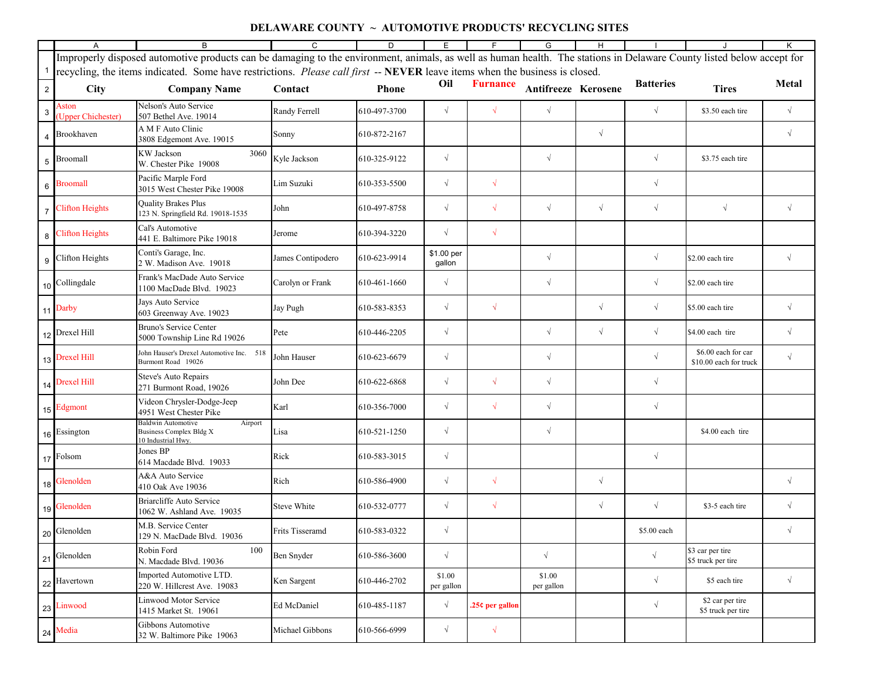## **DELAWARE COUNTY ~ AUTOMOTIVE PRODUCTS' RECYCLING SITES**

|                | $\mathsf{A}$                                                                                                                | B                                                                                                                                                                     | C                  | D            | Е                    | F.              | G                    | H          |                  | J                                             | K          |
|----------------|-----------------------------------------------------------------------------------------------------------------------------|-----------------------------------------------------------------------------------------------------------------------------------------------------------------------|--------------------|--------------|----------------------|-----------------|----------------------|------------|------------------|-----------------------------------------------|------------|
|                |                                                                                                                             | Improperly disposed automotive products can be damaging to the environment, animals, as well as human health. The stations in Delaware County listed below accept for |                    |              |                      |                 |                      |            |                  |                                               |            |
|                | recycling, the items indicated. Some have restrictions. Please call first -- NEVER leave items when the business is closed. |                                                                                                                                                                       |                    |              |                      |                 |                      |            |                  |                                               |            |
| 2 <sup>1</sup> | <b>City</b>                                                                                                                 | <b>Company Name</b>                                                                                                                                                   | Contact            | <b>Phone</b> | Oil                  | <b>Furnance</b> | Antifreeze Kerosene  |            | <b>Batteries</b> | <b>Tires</b>                                  | Metal      |
| 3              | Aston<br>(Upper Chichester)                                                                                                 | Nelson's Auto Service<br>507 Bethel Ave. 19014                                                                                                                        | Randy Ferrell      | 610-497-3700 | $\sqrt{ }$           | $\sqrt{ }$      | $\sqrt{ }$           |            | $\sqrt{ }$       | \$3.50 each tire                              | $\sqrt{ }$ |
|                | Brookhaven                                                                                                                  | A M F Auto Clinic<br>3808 Edgemont Ave. 19015                                                                                                                         | Sonny              | 610-872-2167 |                      |                 |                      | $\sqrt{ }$ |                  |                                               | $\sqrt{}$  |
| 5              | Broomall                                                                                                                    | KW Jackson<br>3060<br>W. Chester Pike 19008                                                                                                                           | Kyle Jackson       | 610-325-9122 | $\sqrt{ }$           |                 | $\sqrt{ }$           |            | $\sqrt{}$        | \$3.75 each tire                              |            |
| $\,6$          | Broomall                                                                                                                    | Pacific Marple Ford<br>3015 West Chester Pike 19008                                                                                                                   | Lim Suzuki         | 610-353-5500 | $\sqrt{}$            | $\sqrt{2}$      |                      |            | $\sqrt{ }$       |                                               |            |
|                | <b>Clifton Heights</b>                                                                                                      | <b>Quality Brakes Plus</b><br>123 N. Springfield Rd. 19018-1535                                                                                                       | John               | 610-497-8758 | $\sqrt{ }$           | $\sqrt{ }$      | $\sqrt{ }$           | $\sqrt{ }$ | $\sqrt{ }$       | $\sqrt{ }$                                    | $\sqrt{ }$ |
|                | <b>Clifton Heights</b>                                                                                                      | Cal's Automotive<br>441 E. Baltimore Pike 19018                                                                                                                       | Jerome             | 610-394-3220 | $\sqrt{ }$           | $\sqrt{ }$      |                      |            |                  |                                               |            |
| 9              | Clifton Heights                                                                                                             | Conti's Garage, Inc.<br>2 W. Madison Ave. 19018                                                                                                                       | James Contipodero  | 610-623-9914 | \$1.00 per<br>gallon |                 | $\sqrt{ }$           |            | $\sqrt{ }$       | \$2.00 each tire                              | $\sqrt{ }$ |
|                | 10 Collingdale                                                                                                              | Frank's MacDade Auto Service<br>100 MacDade Blvd. 19023                                                                                                               | Carolyn or Frank   | 610-461-1660 | $\sqrt{ }$           |                 | $\sqrt{ }$           |            | $\sqrt{}$        | \$2.00 each tire                              |            |
|                | 11 Darby                                                                                                                    | Jays Auto Service<br>603 Greenway Ave. 19023                                                                                                                          | Jay Pugh           | 610-583-8353 | $\sqrt{ }$           | $\sqrt{ }$      |                      | $\sqrt{ }$ | $\sqrt{}$        | \$5.00 each tire                              | $\sqrt{ }$ |
|                | 12 Drexel Hill                                                                                                              | Bruno's Service Center<br>5000 Township Line Rd 19026                                                                                                                 | Pete               | 610-446-2205 | $\sqrt{ }$           |                 | $\sqrt{ }$           | $\sqrt{ }$ | $\sqrt{ }$       | \$4.00 each tire                              | $\sqrt{}$  |
|                | 13 Drexel Hill                                                                                                              | John Hauser's Drexel Automotive Inc. 518<br>Burmont Road 19026                                                                                                        | John Hauser        | 610-623-6679 | $\sqrt{ }$           |                 | $\sqrt{}$            |            | $\sqrt{ }$       | \$6.00 each for car<br>\$10.00 each for truck | $\sqrt{}$  |
|                | 14 Drexel Hill                                                                                                              | <b>Steve's Auto Repairs</b><br>271 Burmont Road, 19026                                                                                                                | John Dee           | 610-622-6868 | $\sqrt{ }$           | $\sqrt{ }$      | $\sqrt{ }$           |            | $\sqrt{ }$       |                                               |            |
|                | 15 Edgmont                                                                                                                  | Videon Chrysler-Dodge-Jeep<br>4951 West Chester Pike                                                                                                                  | Karl               | 610-356-7000 | $\sqrt{}$            | $\sqrt{ }$      | $\sqrt{ }$           |            | $\sqrt{}$        |                                               |            |
|                | 16 Essington                                                                                                                | <b>Baldwin Automotive</b><br>Airport<br>Business Complex Bldg X<br>10 Industrial Hwy.                                                                                 | Lisa               | 610-521-1250 | $\sqrt{ }$           |                 | $\sqrt{}$            |            |                  | \$4.00 each tire                              |            |
|                | 17 Folsom                                                                                                                   | Jones BP<br>614 Macdade Blvd. 19033                                                                                                                                   | Rick               | 610-583-3015 | $\sqrt{ }$           |                 |                      |            | $\sqrt{}$        |                                               |            |
|                | 18 Glenolden                                                                                                                | A&A Auto Service<br>410 Oak Ave 19036                                                                                                                                 | Rich               | 610-586-4900 | $\sqrt{ }$           | $\sqrt{ }$      |                      | $\sqrt{}$  |                  |                                               | $\sqrt{ }$ |
|                | 19 Glenolden                                                                                                                | Briarcliffe Auto Service<br>1062 W. Ashland Ave. 19035                                                                                                                | <b>Steve White</b> | 610-532-0777 | $\sqrt{ }$           | $\sqrt{ }$      |                      | $\sqrt{ }$ | $\sqrt{}$        | \$3-5 each tire                               | $\sqrt{ }$ |
|                | 20 Glenolden                                                                                                                | M.B. Service Center<br>129 N. MacDade Blvd. 19036                                                                                                                     | Frits Tisseramd    | 610-583-0322 | $\sqrt{ }$           |                 |                      |            | \$5.00 each      |                                               | $\sqrt{}$  |
| 21             | Glenolden                                                                                                                   | Robin Ford<br>100<br>N. Macdade Blvd. 19036                                                                                                                           | Ben Snyder         | 610-586-3600 | $\sqrt{ }$           |                 | $\sqrt{ }$           |            | $\sqrt{ }$       | \$3 car per tire<br>\$5 truck per tire        |            |
|                | 22 Havertown                                                                                                                | Imported Automotive LTD.<br>220 W. Hillcrest Ave. 19083                                                                                                               | Ken Sargent        | 610-446-2702 | \$1.00<br>per gallon |                 | \$1.00<br>per gallon |            | $\sqrt{}$        | \$5 each tire                                 | $\sqrt{ }$ |
|                | 23 Linwood                                                                                                                  | Linwood Motor Service<br>1415 Market St. 19061                                                                                                                        | Ed McDaniel        | 610-485-1187 | $\sqrt{ }$           | 25¢ per gallon  |                      |            | $\sqrt{}$        | \$2 car per tire<br>\$5 truck per tire        |            |
|                | 24 Media                                                                                                                    | Gibbons Automotive<br>32 W. Baltimore Pike 19063                                                                                                                      | Michael Gibbons    | 610-566-6999 | $\sqrt{ }$           | $\sqrt{}$       |                      |            |                  |                                               |            |